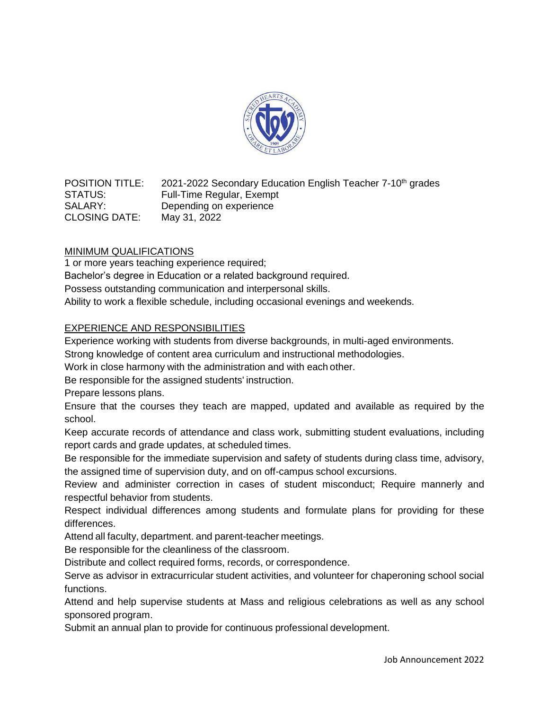

POSITION TITLE: 2021-2022 Secondary Education English Teacher 7-10<sup>th</sup> grades STATUS: Full-Time Regular, Exempt SALARY: Depending on experience CLOSING DATE: May 31, 2022

# MINIMUM QUALIFICATIONS

1 or more years teaching experience required; Bachelor's degree in Education or a related background required. Possess outstanding communication and interpersonal skills. Ability to work a flexible schedule, including occasional evenings and weekends.

# EXPERIENCE AND RESPONSIBILITIES

Experience working with students from diverse backgrounds, in multi-aged environments.

Strong knowledge of content area curriculum and instructional methodologies.

Work in close harmony with the administration and with each other.

Be responsible for the assigned students' instruction.

Prepare lessons plans.

Ensure that the courses they teach are mapped, updated and available as required by the school.

Keep accurate records of attendance and class work, submitting student evaluations, including report cards and grade updates, at scheduled times.

Be responsible for the immediate supervision and safety of students during class time, advisory, the assigned time of supervision duty, and on off-campus school excursions.

Review and administer correction in cases of student misconduct; Require mannerly and respectful behavior from students.

Respect individual differences among students and formulate plans for providing for these differences.

Attend all faculty, department. and parent-teacher meetings.

Be responsible for the cleanliness of the classroom.

Distribute and collect required forms, records, or correspondence.

Serve as advisor in extracurricular student activities, and volunteer for chaperoning school social functions.

Attend and help supervise students at Mass and religious celebrations as well as any school sponsored program.

Submit an annual plan to provide for continuous professional development.